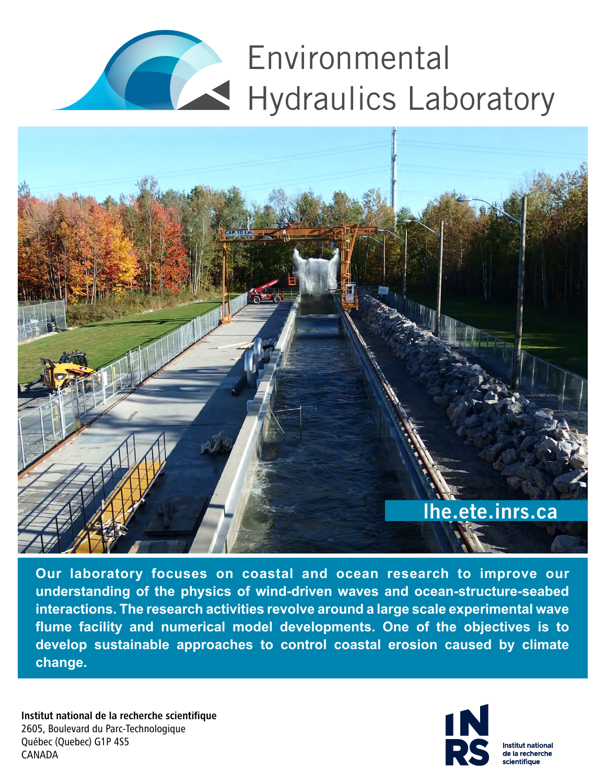# Environmental Hydraulics Laboratory



**Our laboratory focuses on coastal and ocean research to improve our understanding of the physics of wind-driven waves and ocean-structure-seabed interactions. The research activities revolve around a large scale experimental wave flume facility and numerical model developments. One of the objectives is to develop sustainable approaches to control coastal erosion caused by climate change.**

Institut national de la recherche scientifique Québec (Quebec) G1P 4S5 CANADA 2605, Boulevard du Parc-Technologique